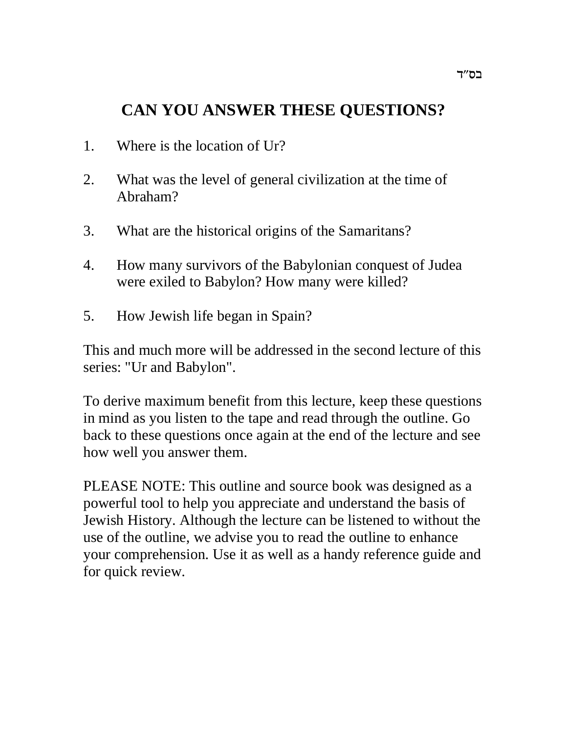# **CAN YOU ANSWER THESE QUESTIONS?**

- 1. Where is the location of Ur?
- 2. What was the level of general civilization at the time of Abraham?
- 3. What are the historical origins of the Samaritans?
- 4. How many survivors of the Babylonian conquest of Judea were exiled to Babylon? How many were killed?
- 5. How Jewish life began in Spain?

This and much more will be addressed in the second lecture of this series: "Ur and Babylon".

To derive maximum benefit from this lecture, keep these questions in mind as you listen to the tape and read through the outline. Go back to these questions once again at the end of the lecture and see how well you answer them.

PLEASE NOTE: This outline and source book was designed as a powerful tool to help you appreciate and understand the basis of Jewish History. Although the lecture can be listened to without the use of the outline, we advise you to read the outline to enhance your comprehension. Use it as well as a handy reference guide and for quick review.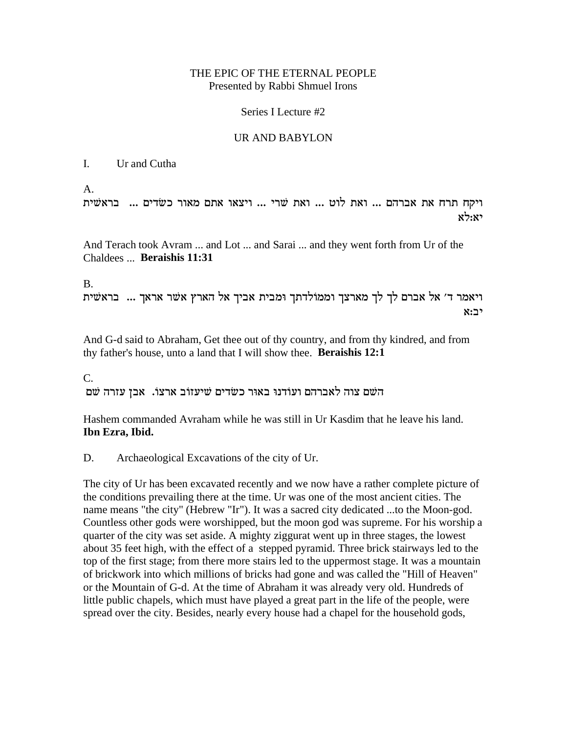#### THE EPIC OF THE ETERNAL PEOPLE Presented by Rabbi Shmuel Irons

#### Series I Lecture #2

#### UR AND BABYLON

#### I. Ur and Cutha

A.

ויקח תרח את אברהם ... ואת לוט ... ואת שרי ... ויצאו אתם מאור כשדים ... בראשית  $x$ לא $\cdot$ 

And Terach took Avram ... and Lot ... and Sarai ... and they went forth from Ur of the Chaldees ... **Beraishis 11:31**

#### B.

ויאמר ד' אל אברם לך לך מארצך וממולדתך ומבית אביך אל הארץ אשר אראך ... בראשית  $\mathbf{x}$ : $\mathbf{r}$   $\mathbf{x}$ 

And G-d said to Abraham, Get thee out of thy country, and from thy kindred, and from thy father's house, unto a land that I will show thee. **Beraishis 12:1**

C.

השם צוה לאברהם ועודנו באור כשדים שיעזוב ארצו. אבן עזרה שם

Hashem commanded Avraham while he was still in Ur Kasdim that he leave his land. **Ibn Ezra, Ibid.**

D. Archaeological Excavations of the city of Ur.

The city of Ur has been excavated recently and we now have a rather complete picture of the conditions prevailing there at the time. Ur was one of the most ancient cities. The name means "the city" (Hebrew "Ir"). It was a sacred city dedicated ...to the Moon-god. Countless other gods were worshipped, but the moon god was supreme. For his worship a quarter of the city was set aside. A mighty ziggurat went up in three stages, the lowest about 35 feet high, with the effect of a stepped pyramid. Three brick stairways led to the top of the first stage; from there more stairs led to the uppermost stage. It was a mountain of brickwork into which millions of bricks had gone and was called the "Hill of Heaven" or the Mountain of G-d. At the time of Abraham it was already very old. Hundreds of little public chapels, which must have played a great part in the life of the people, were spread over the city. Besides, nearly every house had a chapel for the household gods,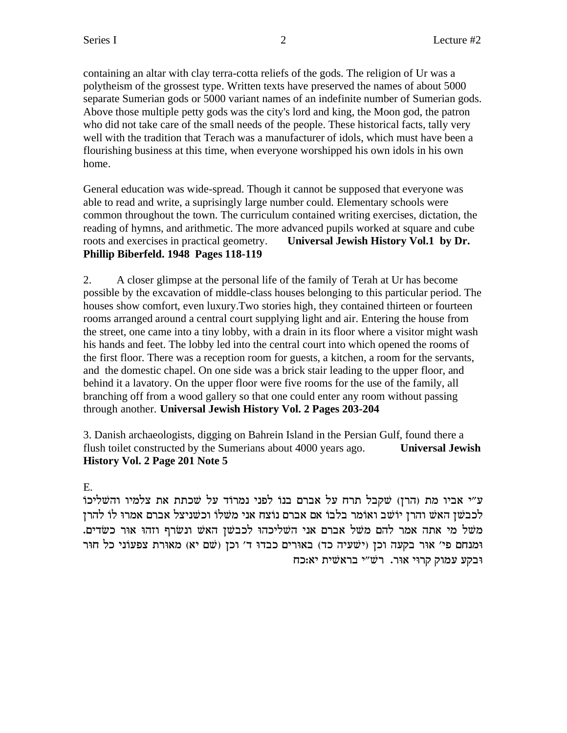containing an altar with clay terra-cotta reliefs of the gods. The religion of Ur was a polytheism of the grossest type. Written texts have preserved the names of about 5000 separate Sumerian gods or 5000 variant names of an indefinite number of Sumerian gods. Above those multiple petty gods was the city's lord and king, the Moon god, the patron who did not take care of the small needs of the people. These historical facts, tally very well with the tradition that Terach was a manufacturer of idols, which must have been a flourishing business at this time, when everyone worshipped his own idols in his own home.

General education was wide-spread. Though it cannot be supposed that everyone was able to read and write, a suprisingly large number could. Elementary schools were common throughout the town. The curriculum contained writing exercises, dictation, the reading of hymns, and arithmetic. The more advanced pupils worked at square and cube roots and exercises in practical geometry. **Universal Jewish History Vol.1 by Dr. Phillip Biberfeld. 1948 Pages 118-119**

2. A closer glimpse at the personal life of the family of Terah at Ur has become possible by the excavation of middle-class houses belonging to this particular period. The houses show comfort, even luxury.Two stories high, they contained thirteen or fourteen rooms arranged around a central court supplying light and air. Entering the house from the street, one came into a tiny lobby, with a drain in its floor where a visitor might wash his hands and feet. The lobby led into the central court into which opened the rooms of the first floor. There was a reception room for guests, a kitchen, a room for the servants, and the domestic chapel. On one side was a brick stair leading to the upper floor, and behind it a lavatory. On the upper floor were five rooms for the use of the family, all branching off from a wood gallery so that one could enter any room without passing through another. **Universal Jewish History Vol. 2 Pages 203-204**

3. Danish archaeologists, digging on Bahrein Island in the Persian Gulf, found there a flush toilet constructed by the Sumerians about 4000 years ago. **Universal Jewish History Vol. 2 Page 201 Note 5**

## E.

ע״י אביו מת (הרן) שקבל תרח על אברם בנו לפני נמרוד על שכתת את צלמיו והשליכו לכבשן האש והרן יוֹשׁב ואוֹמר בלבו אם אברם נוֹצח אני משלו וכשניצל אברם אמרוּ לוֹ להרן . משל מי אתה אמר להם משל אברם אני השליכהוּ לכבשן האש ונשרף וזהוּ אוּר כשׂדים ומנחם פי' אוּר בקעה וכן (ישׁעיה כד) באוּרים כבדוּ ד' וכן (שם יא) מאוּרת צפעוֹני כל חוּר ובקע עמוק קרוי אור. רש״י בראשית יא:כח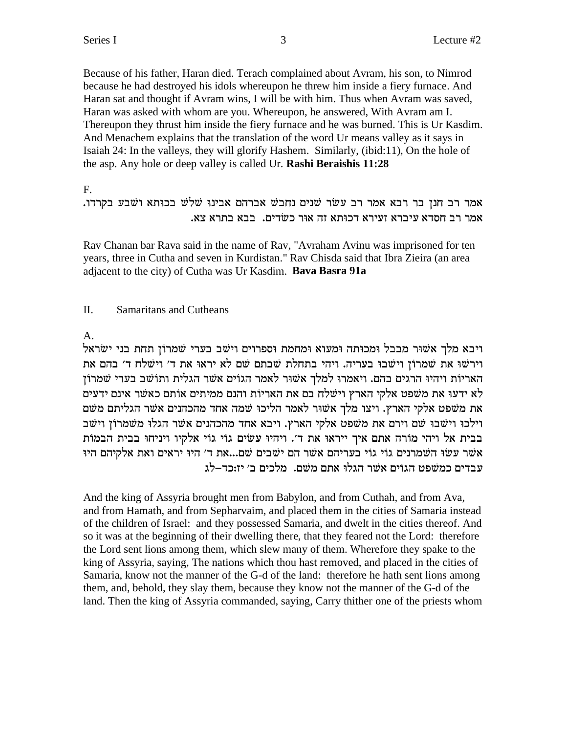Because of his father, Haran died. Terach complained about Avram, his son, to Nimrod because he had destroyed his idols whereupon he threw him inside a fiery furnace. And Haran sat and thought if Avram wins, I will be with him. Thus when Avram was saved, Haran was asked with whom are you. Whereupon, he answered, With Avram am I. Thereupon they thrust him inside the fiery furnace and he was burned. This is Ur Kasdim. And Menachem explains that the translation of the word Ur means valley as it says in Isaiah 24: In the valleys, they will glorify Hashem. Similarly, (ibid:11), On the hole of the asp. Any hole or deep valley is called Ur. **Rashi Beraishis 11:28** 

 $F_{\cdot}$ 

## אמר רב חנן בר רבא אמר רב עשׂר שׁנים נחבשׁ אברהם אבינוּ שׁלֹשׁ בכוּתא ושׁבע בקרדו. אמר רב חסדא עיברא זעירא דכוּתא זה אוּר כשׂדים. בבא בתרא צא.

Rav Chanan bar Rava said in the name of Rav, "Avraham Avinu was imprisoned for ten years, three in Cutha and seven in Kurdistan." Rav Chisda said that Ibra Zieira (an area adjacent to the city) of Cutha was Ur Kasdim. Bava Basra 91a

#### II. **Samaritans and Cutheans**

 $A<sub>1</sub>$ 

ויבא מלך אשור מבבל ומכותה ומעוא ומחמת וספרוים וישב בערי שמרוֹן תחת בני ישׂראל וירשו את שמרון וישבו בעריה. ויהי בתחלת שבתם שם לא יראו את ד' וישלח ד' בהם את האריות ויהיו הרגים בהם. ויאמרו למלך אשור לאמר הגוים אשר הגלית ותושב בערי שמרון לא ידעו את משפט אלקי הארץ וישלח בם את האריות והנם ממיתים אותם כאשר אינם ידעים את משפט אלקי הארץ. ויצו מלך אשור לאמר הליכוּ שמה אחד מהכהנים אשר הגליתם משם וילכו וישבו שם וירם את משפט אלקי הארץ. ויבא אחד מהכהנים אשר הגלו משמרון וישב בבית אל ויהי מורה אתם איך ייראוּ את ד׳. ויהיוּ עשׂים גוֹי גוֹי אלקיו ויניחוּ בבית הבמוֹת אשר עשו השמרנים גוי גוי בעריהם אשר הם ישבים שם...את ד׳ היו יראים ואת אלקיהם היו עבדים כמשפט הגוים אשר הגלו אתם משם. מלכים ב׳ יז:כד–לג

And the king of Assyria brought men from Babylon, and from Cuthah, and from Ava, and from Hamath, and from Sepharvaim, and placed them in the cities of Samaria instead of the children of Israel: and they possessed Samaria, and dwelt in the cities thereof. And so it was at the beginning of their dwelling there, that they feared not the Lord: therefore the Lord sent lions among them, which slew many of them. Wherefore they spake to the king of Assyria, saying, The nations which thou hast removed, and placed in the cities of Samaria, know not the manner of the G-d of the land: therefore he hath sent lions among them, and, behold, they slay them, because they know not the manner of the G-d of the land. Then the king of Assyria commanded, saying, Carry thither one of the priests whom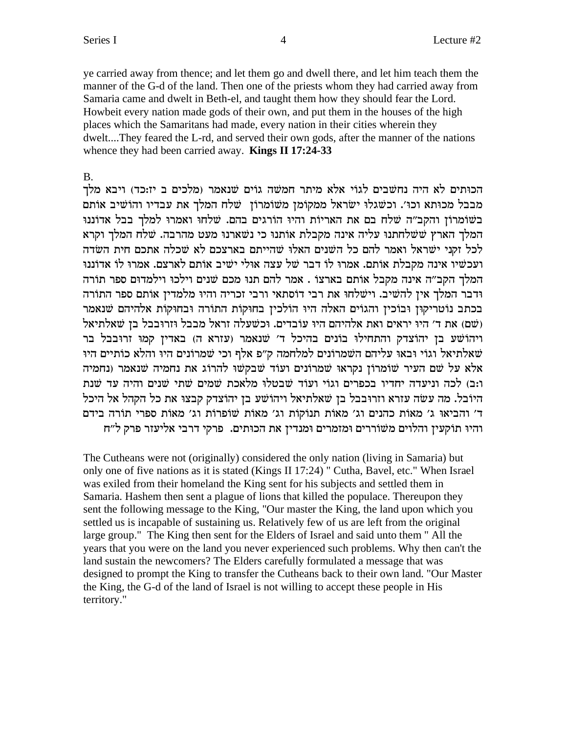ye carried away from thence; and let them go and dwell there, and let him teach them the manner of the G-d of the land. Then one of the priests whom they had carried away from Samaria came and dwelt in Beth-el, and taught them how they should fear the Lord. Howbeit every nation made gods of their own, and put them in the houses of the high places which the Samaritans had made, every nation in their cities wherein they dwelt....They feared the L-rd, and served their own gods, after the manner of the nations whence they had been carried away. Kings II 17:24-33

#### $B<sub>1</sub>$

הכוּתים לא היה נחשבים לגוֹי אלא מיתר חמשה גוֹים שנאמר (מלכים ב יז:כד) ויבא מלך מבבל מכותא וכו׳. וכשגלוּ ישׂראל ממקוֹמן משוֹמרוֹן שלח המלך את עבדיו והוֹשיב אוֹתם בשומרוֹן והקב״ה שלח בם את האריות והיוּ הוֹרגים בהם. שלחוּ ואמרוּ למלך בבל אדוֹננוּ המלך הארץ ששלחתנו עליה אינה מקבלת אותנו כי נשארנו מעט מהרבה. שלח המלך וקרא לכל זקני ישראל ואמר להם כל השנים האלו שהייתם בארצכם לא שכלה אתכם חית השדה ועכשיו אינה מקבלת אותם. אמרו לו דבר של עצה אולי ישיב אותם לארצם. אמרו לו אדוננו המלך הקב״ה אינה מקבל אותם בארצו . אמר להם תנו מכם שנים וילכו וילמדום ספר תורה ודבר המלך אין להשיב. וישלחו את רבי דוסתאי ורבי זכריה והיו מלמדין אותם ספר התורה בכתב נוטריקון ובוכין והגוים האלה היו הולכין בחוקות התורה ובחוקות אלהיהם שנאמר (שם) את ד' היו יראים ואת אלהיהם היו עובדים. וכשעלה זראל מבבל וזרובבל בן שאלתיאל ויהוֹשׁע בן יהוֹצדק והתחילוּ בוֹנים בהיכל ד׳ שׁנאמר (עזרא ה) באדין קמוּ זרוּבבל בר שאלתיאל וגוי ובאו עליהם השמרונים למלחמה ק״פ אלף וכי שמרונים היו והלא כותיים היו אלא על שם העיר שומרוֹן נקראוּ שמרוֹנים ועוֹד שבקשוּ להרוֹג את נחמיה שנאמר (נחמיה ו:ב) לכה וניעדה יחדיו בכפרים וגוֹי ועוֹד שׁבטלוּ מלֹאכת שמים שתי שנים והיה עד שנת היובל. מה עשה עזרא וזרובבל בן שאלתיאל ויהוֹשע בן יהוֹצדק קבצוּ את כל הקהל אל היכל ד' והביאוּ ג' מאות כהנים וג' מאות תנוֹקוֹת וג' מאוֹת שׁוֹפרוֹת וג' מאוֹת ספרי תוֹרה בידם והיו תוקעין והלוים משוררים ומזמרים ומנדין את הכותים. פרקי דרבי אליעזר פרק ל״ח

The Cutheans were not (originally) considered the only nation (living in Samaria) but only one of five nations as it is stated (Kings II 17:24) " Cutha, Bavel, etc." When Israel was exiled from their homeland the King sent for his subjects and settled them in Samaria. Hashem then sent a plague of lions that killed the populace. Thereupon they sent the following message to the King, "Our master the King, the land upon which you settled us is incapable of sustaining us. Relatively few of us are left from the original large group." The King then sent for the Elders of Israel and said unto them " All the years that you were on the land you never experienced such problems. Why then can't the land sustain the newcomers? The Elders carefully formulated a message that was designed to prompt the King to transfer the Cutheans back to their own land. "Our Master the King, the G-d of the land of Israel is not willing to accept these people in His territory."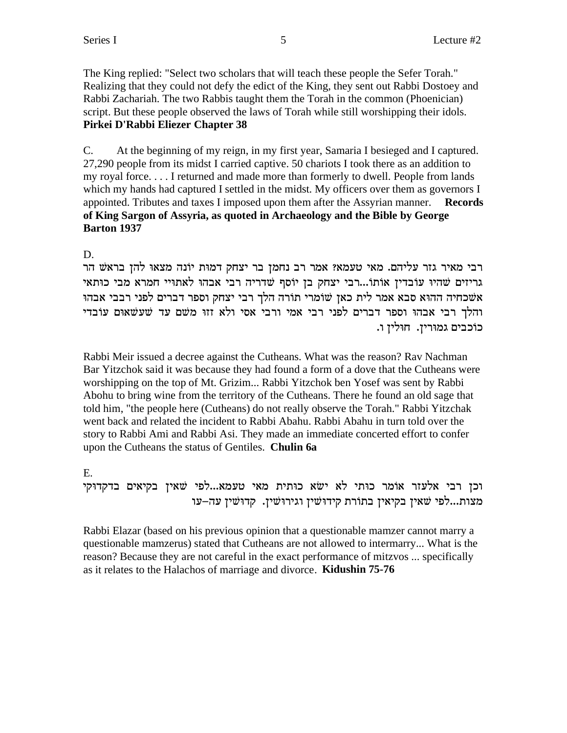The King replied: "Select two scholars that will teach these people the Sefer Torah." Realizing that they could not defy the edict of the King, they sent out Rabbi Dostoey and Rabbi Zachariah. The two Rabbis taught them the Torah in the common (Phoenician) script. But these people observed the laws of Torah while still worshipping their idols. **Pirkei D'Rabbi Eliezer Chapter 38**

C. At the beginning of my reign, in my first year, Samaria I besieged and I captured. 27,290 people from its midst I carried captive. 50 chariots I took there as an addition to my royal force. . . . I returned and made more than formerly to dwell. People from lands which my hands had captured I settled in the midst. My officers over them as governors I appointed. Tributes and taxes I imposed upon them after the Assyrian manner. **Records of King Sargon of Assyria, as quoted in Archaeology and the Bible by George Barton 1937**

D.

רבי מאיר גזר עליהם. מאי טעמא? אמר רב נחמן בר יצחק דמות יוֹנה מצאוּ להן בראשׁ הר גריזים שהיו עובדין אותו...רבי יצחק בן יוסף שדריה רבי אבהו לאתויי חמרא מבי כותאי אשכחיה ההוא סבא אמר לית כאן שומרי תורה הלך רבי יצחק וספר דברים לפני רבבי אבהו והלך רבי אבהוּ וספר דברים לפני רבי אמי ורבי אסי ולא זזוּ משם עד שעשאוּם עוֹבדי כוכבים גמורין. חולין ו.

Rabbi Meir issued a decree against the Cutheans. What was the reason? Rav Nachman Bar Yitzchok said it was because they had found a form of a dove that the Cutheans were worshipping on the top of Mt. Grizim... Rabbi Yitzchok ben Yosef was sent by Rabbi Abohu to bring wine from the territory of the Cutheans. There he found an old sage that told him, "the people here (Cutheans) do not really observe the Torah." Rabbi Yitzchak went back and related the incident to Rabbi Abahu. Rabbi Abahu in turn told over the story to Rabbi Ami and Rabbi Asi. They made an immediate concerted effort to confer upon the Cutheans the status of Gentiles. **Chulin 6a**

## E.

וכן רבי אלעזר אומר כותי לא ישא כותית מאי טעמא...לפי שאין בקיאים בדקדוקי מצות...לפי שאין בקיאין בתורת קידוּשׁין וגירוּשׁין. קדוּשׁין עה–עו

Rabbi Elazar (based on his previous opinion that a questionable mamzer cannot marry a questionable mamzerus) stated that Cutheans are not allowed to intermarry... What is the reason? Because they are not careful in the exact performance of mitzvos ... specifically as it relates to the Halachos of marriage and divorce. **Kidushin 75-76**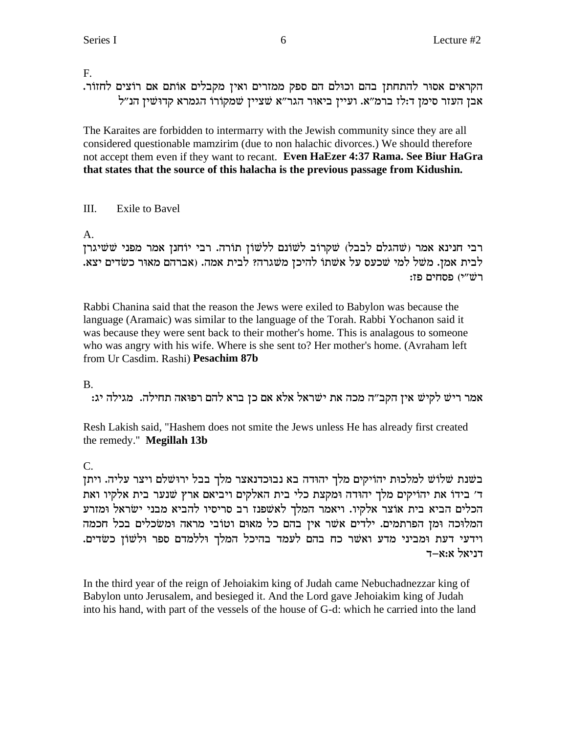F.

. הקראים אסור להתחתן בהם וכולם הם ספק ממזרים ואין מקבלים אותם אם רוצים לחזור. ו אבן העזר סימן ד:לז ברמ"א. ועיין ביאוּר הגר"א שציין שמקורו הגמרא קדוּשׁין הנ"ל

The Karaites are forbidden to intermarry with the Jewish community since they are all considered questionable mamzirim (due to non halachic divorces.) We should therefore not accept them even if they want to recant. **Even HaEzer 4:37 Rama. See Biur HaGra that states that the source of this halacha is the previous passage from Kidushin.**

## III. Exile to Bavel

A.

רבי חנינא אמר (שהגלם לבבל) שקרוב לשונם ללשון תורה. רבי יוחנן אמר מפני ששיגרן .<br>לבית אמן. משל למי שכעס על אשתו להיכן משגרה? לבית אמה. (אברהם מאור כשדים יצא. :רשׁ״י) פסחים פז

Rabbi Chanina said that the reason the Jews were exiled to Babylon was because the language (Aramaic) was similar to the language of the Torah. Rabbi Yochanon said it was because they were sent back to their mother's home. This is analagous to someone who was angry with his wife. Where is she sent to? Her mother's home. (Avraham left from Ur Casdim. Rashi) **Pesachim 87b**

B.

:bi אמר ריש לקיש אין הקב״ה מכה את ישראל אלא אם כן ברא להם רפואה תחילה. מגילה יג

Resh Lakish said, "Hashem does not smite the Jews unless He has already first created the remedy." **Megillah 13b**

C.

בשנת שלוֹש למלכוּת יהוֹיקים מלך יהוּדה בא נבוּכדנאצר מלך בבל ירוּשׁלם ויצר עליה. ויתן ד' בידו את יהויקים מלך יהודה ומקצת כלי בית האלקים ויביאם ארץ שנער בית אלקיו ואת הכלים הביא בית אוֹצר אלקיו. ויאמר המלך לאשׁפנז רב סריסיו להביא מבני ישׂראל וּמזרע המלוכה ומן הפרתמים. ילדים אשר אין בהם כל מאום וטובי מראה ומשכלים בכל חכמה .<br>וידעי דעת ומביני מדע ואשר כח בהם לעמד בהיכל המלך וללמדם ספר ולשון כשדים. דניאל א:א–ד

In the third year of the reign of Jehoiakim king of Judah came Nebuchadnezzar king of Babylon unto Jerusalem, and besieged it. And the Lord gave Jehoiakim king of Judah into his hand, with part of the vessels of the house of G-d: which he carried into the land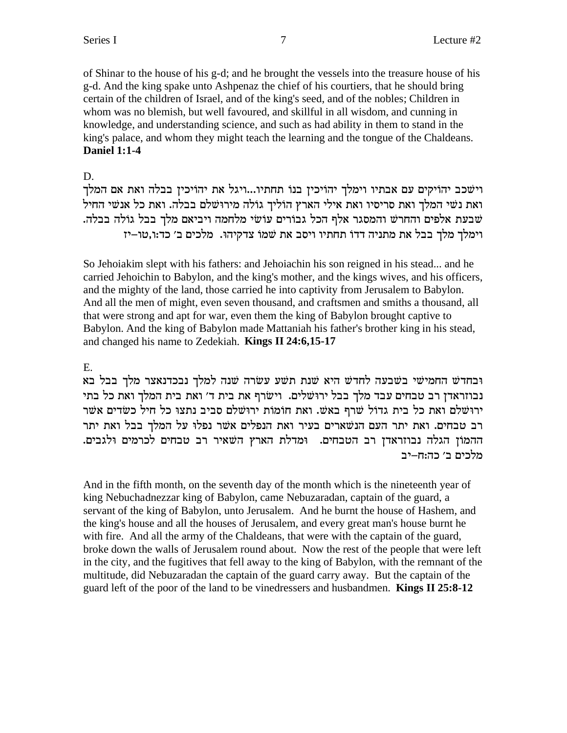of Shinar to the house of his g-d; and he brought the vessels into the treasure house of his g-d. And the king spake unto Ashpenaz the chief of his courtiers, that he should bring certain of the children of Israel, and of the king's seed, and of the nobles; Children in whom was no blemish, but well favoured, and skillful in all wisdom, and cunning in knowledge, and understanding science, and such as had ability in them to stand in the king's palace, and whom they might teach the learning and the tongue of the Chaldeans. **Daniel 1:1-4**

#### D.

וישכב יהויקים עם אבתיו וימלך יהויכין בנו תחתיו...ויגל את יהויכין בבלה ואת אם המלך ואת נשי המלך ואת סריסיו ואת אילי הארץ הוליך גולה מירוּשׁלם בבלה. ואת כל אנשי החיל שבעת אלפים והחרש והמסגר אלף הכל גבורים עוֹשׂי מלחמה ויביאם מלך בבל גוֹלה בבלה. fit וימלך מלך בבל את מתניה דדו תחתיו ויסב את שמו צדקיהו. מלכים ב' כד:ו,טו

So Jehoiakim slept with his fathers: and Jehoiachin his son reigned in his stead... and he carried Jehoichin to Babylon, and the king's mother, and the kings wives, and his officers, and the mighty of the land, those carried he into captivity from Jerusalem to Babylon. And all the men of might, even seven thousand, and craftsmen and smiths a thousand, all that were strong and apt for war, even them the king of Babylon brought captive to Babylon. And the king of Babylon made Mattaniah his father's brother king in his stead, and changed his name to Zedekiah. **Kings II 24:6,15-17**

## E.

ובחדש החמישי בשבעה לחדש היא שנת תשע עשרה שנה למלך נבכדנאצר מלך בבל בא נבוזראדן רב טבחים עבד מלך בבל ירוּשׁלים. וישׂרף את בית ד׳ ואת בית המלך ואת כל בתי ירושלם ואת כל בית גדול שרף באש. ואת חומות ירושלם סביב נתצו כל חיל כשדים אשר רב טבחים. ואת יתר העם הנשארים בעיר ואת הנפלים אשר נפלו על המלך בבל ואת יתר ההמוֹן הגלה נבוזראדן רב הטבחים. <sup>ו</sup>מדלת הארץ השאיר רב טבחים לכרמים ולגבים. מלכים ב׳ כה:ח–יב

And in the fifth month, on the seventh day of the month which is the nineteenth year of king Nebuchadnezzar king of Babylon, came Nebuzaradan, captain of the guard, a servant of the king of Babylon, unto Jerusalem. And he burnt the house of Hashem, and the king's house and all the houses of Jerusalem, and every great man's house burnt he with fire. And all the army of the Chaldeans, that were with the captain of the guard, broke down the walls of Jerusalem round about. Now the rest of the people that were left in the city, and the fugitives that fell away to the king of Babylon, with the remnant of the multitude, did Nebuzaradan the captain of the guard carry away. But the captain of the guard left of the poor of the land to be vinedressers and husbandmen. **Kings II 25:8-12**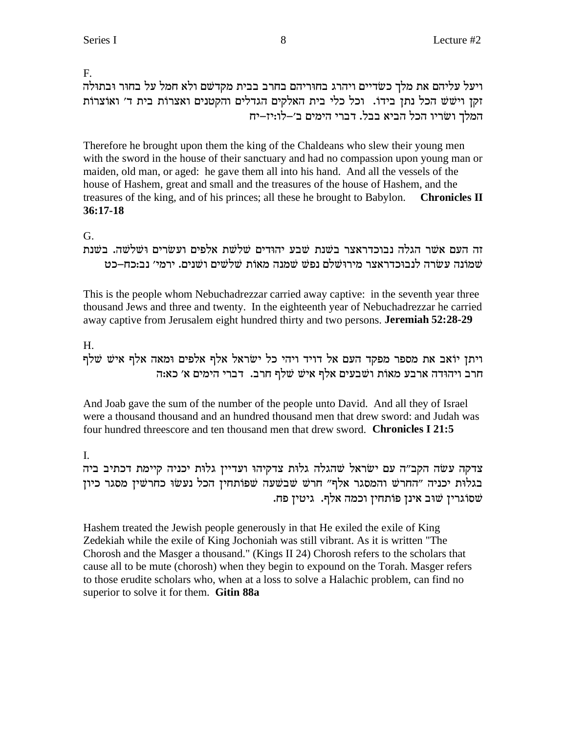F.

ויעל עליהם את מלך כשדיים ויהרג בחוריהם בחרב בבית מקדשם ולא חמל על בחור ובתולה זקן וישש הכל נתן בידו. וכל כלי בית האלקים הגדלים והקטנים ואצרות בית ד׳ ואוצרות המלך ושריו הכל הביא בבל. דברי הימים ב׳–לו:יז–יח

Therefore he brought upon them the king of the Chaldeans who slew their young men with the sword in the house of their sanctuary and had no compassion upon young man or maiden, old man, or aged: he gave them all into his hand. And all the vessels of the house of Hashem, great and small and the treasures of the house of Hashem, and the treasures of the king, and of his princes; all these he brought to Babylon. **Chronicles II**  $36:17-18$ 

## G.

זה העם אשר הגלה נבוכדראצר בשנת שבע יהודים שלשת אלפים ועשרים ושלשה. בשנת שמונה עשרה לנבוכדראצר מירושלם נפש שמנה מאות שלשים ושנים. ירמי׳ נב:כח–כט

This is the people whom Nebuchadrezzar carried away captive: in the seventh year three thousand Jews and three and twenty. In the eighteenth year of Nebuchadrezzar he carried away captive from Jerusalem eight hundred thirty and two persons. Jeremiah 52:28-29

## $H_{\odot}$

ויתן יוֹאב את מספר מפקד העם אל דויד ויהי כל ישׂראל אלף אלפים ומאה אלף איש שלף חרב ויהודה ארבע מאות ושבעים אלף איש שלף חרב. דברי הימים א׳ כא:ה

And Joab gave the sum of the number of the people unto David. And all they of Israel were a thousand thousand and an hundred thousand men that drew sword: and Judah was four hundred threescore and ten thousand men that drew sword. Chronicles I 21:5

## $\mathbf{L}$

צדקה עשה הקב"ה עם ישראל שהגלה גלות צדקיהו ועדיין גלות יכניה קיימת דכתיב ביה בגלות יכניה "החרש והמסגר אלף" חרש שבשעה שפותחין הכל נעשו כחרשין מסגר כיון שסוגרין שוב אינן פותחין וכמה אלף. גיטין פח.

Hashem treated the Jewish people generously in that He exiled the exile of King Zedekiah while the exile of King Jochoniah was still vibrant. As it is written "The Chorosh and the Masger a thousand." (Kings II 24) Chorosh refers to the scholars that cause all to be mute (chorosh) when they begin to expound on the Torah. Masger refers to those erudite scholars who, when at a loss to solve a Halachic problem, can find no superior to solve it for them. Gitin 88a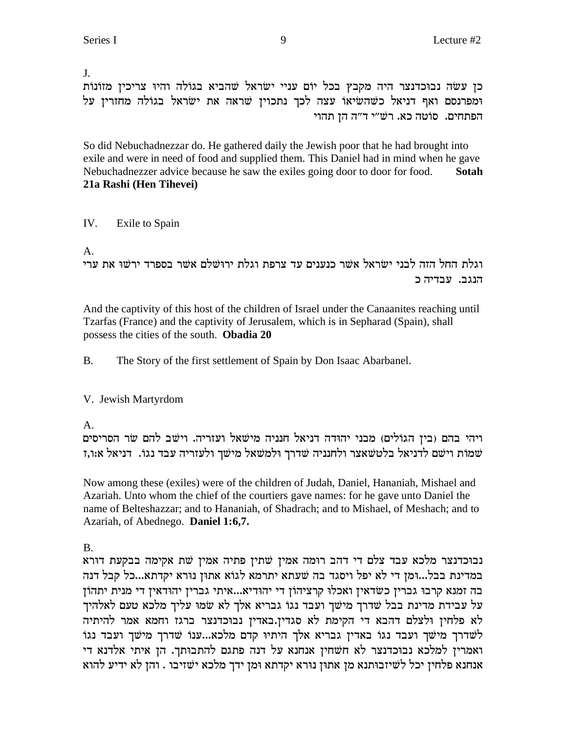#### J.

כן עשה נבוכדנצר היה מקבץ בכל יוֹם עניי ישׂראל שהביא בגוֹלה והיוּ צריכין מזוֹנוֹת ומפרנסם ואף דניאל כשהשיאו עצה לכך נתכוין שראה את ישראל בגולה מחזרין על הפתחים. סוטה כא. רש״י ד״ה הן תהוי

So did Nebuchadnezzar do. He gathered daily the Jewish poor that he had brought into exile and were in need of food and supplied them. This Daniel had in mind when he gave Nebuchadnezzer advice because he saw the exiles going door to door for food. **Sotah 21a Rashi (Hen Tihevei)**

## IV. Exile to Spain

A.

וגלת החל הזה לבני ישראל אשר כנענים עד צרפת וגלת ירוּשׁלם אשר בספרד ירשו את ערי הנגב. עבדיה כ

And the captivity of this host of the children of Israel under the Canaanites reaching until Tzarfas (France) and the captivity of Jerusalem, which is in Sepharad (Spain), shall possess the cities of the south. **Obadia 20**

B. The Story of the first settlement of Spain by Don Isaac Abarbanel.

## V. Jewish Martyrdom

A.

ויהי בהם (בין הגוֹלים) מבני יהוּדה דניאל חנניה מישׁאל ועזריה. וישׁב להם שׂר הסריסים f,שמות וישם לדניאל בלטשאצר ולחנניה שדרך ולמשאל מישך ולעזריה עבד נגו. דניאל א:ו,ז

Now among these (exiles) were of the children of Judah, Daniel, Hananiah, Mishael and Azariah. Unto whom the chief of the courtiers gave names: for he gave unto Daniel the name of Belteshazzar; and to Hananiah, of Shadrach; and to Mishael, of Meshach; and to Azariah, of Abednego. **Daniel 1:6,7.**

B.

נבוכדנצר מלכא עבד צלם די דהב רוּמה אמין שתין פתיה אמין שת אקימה בבקעת דוּרא במדינת בבל...וּמן די לא יפל ויסגד בה שׁעתא יתרמא לגוֹא אתוּן נוּרא יקדתא...כל קבל דנה בה זמנא קרבו גברין כשדאין ואכלו קרציהון די יהודיא...איתי גברין יהודאין די מנית יתהון על עבידת מדינת בבל שדרך מישך ועבד נגו גבריא אלך לא שמו עליך מלכא טעם לאלהיך לא פלחין ולצלם דהבא די הקימת לא סגדין.באדין נבוכדנצר ברגז וחמא אמר להיתיה לשדרך מישך ועבד נגו באדין גבריא אלך היתיו קדם מלכא...ענוֹ שדרך מישך ועבד נגוֹ ואמרין למלכא נבוכדנצר לא חשחין אנחנא על דנה פתגם להתבותך. הן איתי אלדנא די אנחנא פלחין יכל לשיזבותנא מן אתון נורא יקדתא ומן ידך מלכא ישזיבו . והן לא ידיע להוא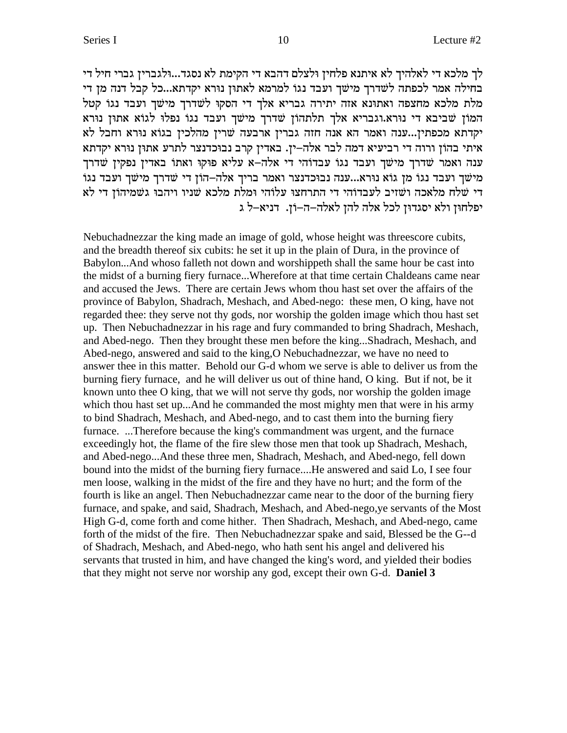לך מלכא די לאלהיך לא איתנא פלחין ולצלם דהבא די הקימת לא נסגד...וּלגברין גברי חיל די בחילה אמר לכפתה לשדרך מישך ועבד נגו למרמא לאתון נורא יקדתא...כל קבל דנה מן די מלת מלכא מחצפה ואתונא אזה יתירה גבריא אלך די הסקו לשדרך מישך ועבד נגו קטל המון שביבא די נורא.וגבריא אלך תלתהון שדרך מישך ועבד נגו נפלו לגוא אתון נורא יקדתא מכפתין...ענה ואמר הא אנה חזה גברין ארבעה שרין מהלכין בגוֹא נוּרא וחבל לא איתי בהון ורוה די רביעיא דמה לבר אלה–ין. באדין קרב נבוכדנצר לתרע אתון נורא יקדתא ענה ואמר שדרך מישך ועבד נגו עבדוהי די אלה–א עליא פוקו ואתו באדין נפקין שדרך מישׁך ועבד נגוֹ מז גוֹא נוּרא...ענה נבוּכדנצר ואמר בריך אלה–הוֹז די שׁדרך מישׁך ועבד נגוֹ די שלח מלאכה ושזיב לעבדוהי די התרחצו עלוהי ומלת מלכא שניו ויהבו גשמיהון די לא יפלחון ולא יסגדון לכל אלה להן לאלה-ה-וֹן. דניא-ל ג

Nebuchadnezzar the king made an image of gold, whose height was threescore cubits, and the breadth thereof six cubits: he set it up in the plain of Dura, in the province of Babylon...And whoso falleth not down and worshippeth shall the same hour be cast into the midst of a burning fiery furnace...Wherefore at that time certain Chaldeans came near and accused the Jews. There are certain Jews whom thou hast set over the affairs of the province of Babylon, Shadrach, Meshach, and Abed-nego: these men, O king, have not regarded thee: they serve not thy gods, nor worship the golden image which thou hast set up. Then Nebuchadnezzar in his rage and fury commanded to bring Shadrach, Meshach, and Abed-nego. Then they brought these men before the king...Shadrach, Meshach, and Abed-nego, answered and said to the king, O Nebuchadnezzar, we have no need to answer thee in this matter. Behold our G-d whom we serve is able to deliver us from the burning fiery furnace, and he will deliver us out of thine hand, O king. But if not, be it known unto thee O king, that we will not serve thy gods, nor worship the golden image which thou hast set up... And he commanded the most mighty men that were in his army to bind Shadrach, Meshach, and Abed-nego, and to cast them into the burning fiery furnace. ...Therefore because the king's commandment was urgent, and the furnace exceedingly hot, the flame of the fire slew those men that took up Shadrach, Meshach, and Abed-nego...And these three men, Shadrach, Meshach, and Abed-nego, fell down bound into the midst of the burning fiery furnace....He answered and said Lo, I see four men loose, walking in the midst of the fire and they have no hurt; and the form of the fourth is like an angel. Then Nebuchadnezzar came near to the door of the burning fiery furnace, and spake, and said, Shadrach, Meshach, and Abed-nego, ye servants of the Most High G-d, come forth and come hither. Then Shadrach, Meshach, and Abed-nego, came forth of the midst of the fire. Then Nebuchadnezzar spake and said, Blessed be the G--d of Shadrach, Meshach, and Abed-nego, who hath sent his angel and delivered his servants that trusted in him, and have changed the king's word, and yielded their bodies that they might not serve nor worship any god, except their own G-d. **Daniel 3**